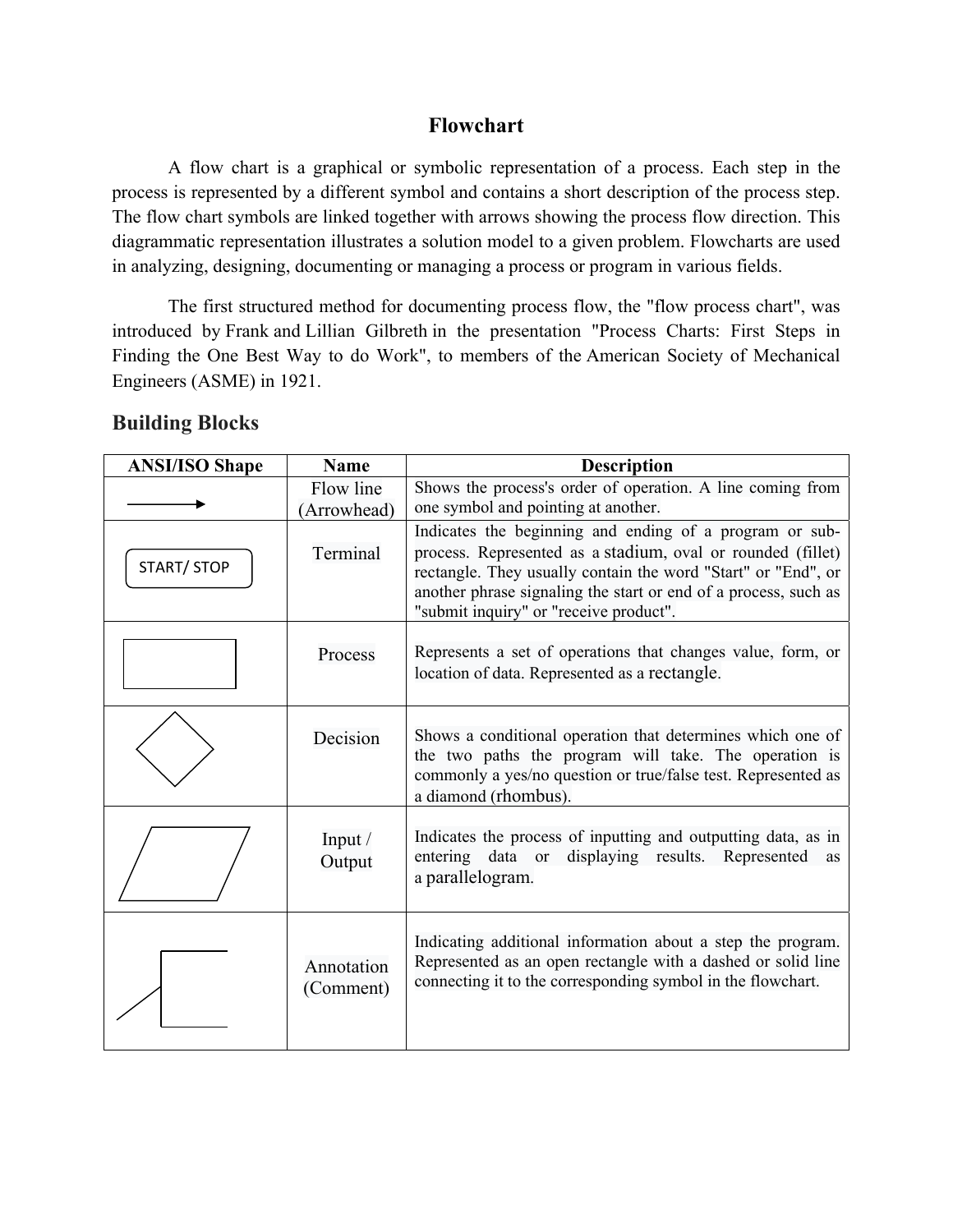### **Flowchart**

A flow chart is a graphical or symbolic representation of a process. Each step in the process is represented by a different symbol and contains a short description of the process step. The flow chart symbols are linked together with arrows showing the process flow direction. This diagrammatic representation illustrates a solution model to a given problem. Flowcharts are used in analyzing, designing, documenting or managing a process or program in various fields.

The first structured method for documenting process flow, the "flow process chart", was introduced by Frank and Lillian Gilbreth in the presentation "Process Charts: First Steps in Finding the One Best Way to do Work", to members of the American Society of Mechanical Engineers (ASME) in 1921.

#### **Building Blocks**

| <b>ANSI/ISO Shape</b> | <b>Name</b>              | <b>Description</b>                                                                                                                                                                                                                                                                                   |  |  |  |  |
|-----------------------|--------------------------|------------------------------------------------------------------------------------------------------------------------------------------------------------------------------------------------------------------------------------------------------------------------------------------------------|--|--|--|--|
|                       | Flow line<br>(Arrowhead) | Shows the process's order of operation. A line coming from<br>one symbol and pointing at another.                                                                                                                                                                                                    |  |  |  |  |
| START/ STOP           | Terminal                 | Indicates the beginning and ending of a program or sub-<br>process. Represented as a stadium, oval or rounded (fillet)<br>rectangle. They usually contain the word "Start" or "End", or<br>another phrase signaling the start or end of a process, such as<br>"submit inquiry" or "receive product". |  |  |  |  |
|                       | Process                  | Represents a set of operations that changes value, form, or<br>location of data. Represented as a rectangle.                                                                                                                                                                                         |  |  |  |  |
|                       | Decision                 | Shows a conditional operation that determines which one of<br>the two paths the program will take. The operation is<br>commonly a yes/no question or true/false test. Represented as<br>a diamond (rhombus).                                                                                         |  |  |  |  |
|                       | Input /<br>Output        | Indicates the process of inputting and outputting data, as in<br>displaying results. Represented<br>entering data or<br>as<br>a parallelogram.                                                                                                                                                       |  |  |  |  |
|                       | Annotation<br>(Comment)  | Indicating additional information about a step the program.<br>Represented as an open rectangle with a dashed or solid line<br>connecting it to the corresponding symbol in the flowchart.                                                                                                           |  |  |  |  |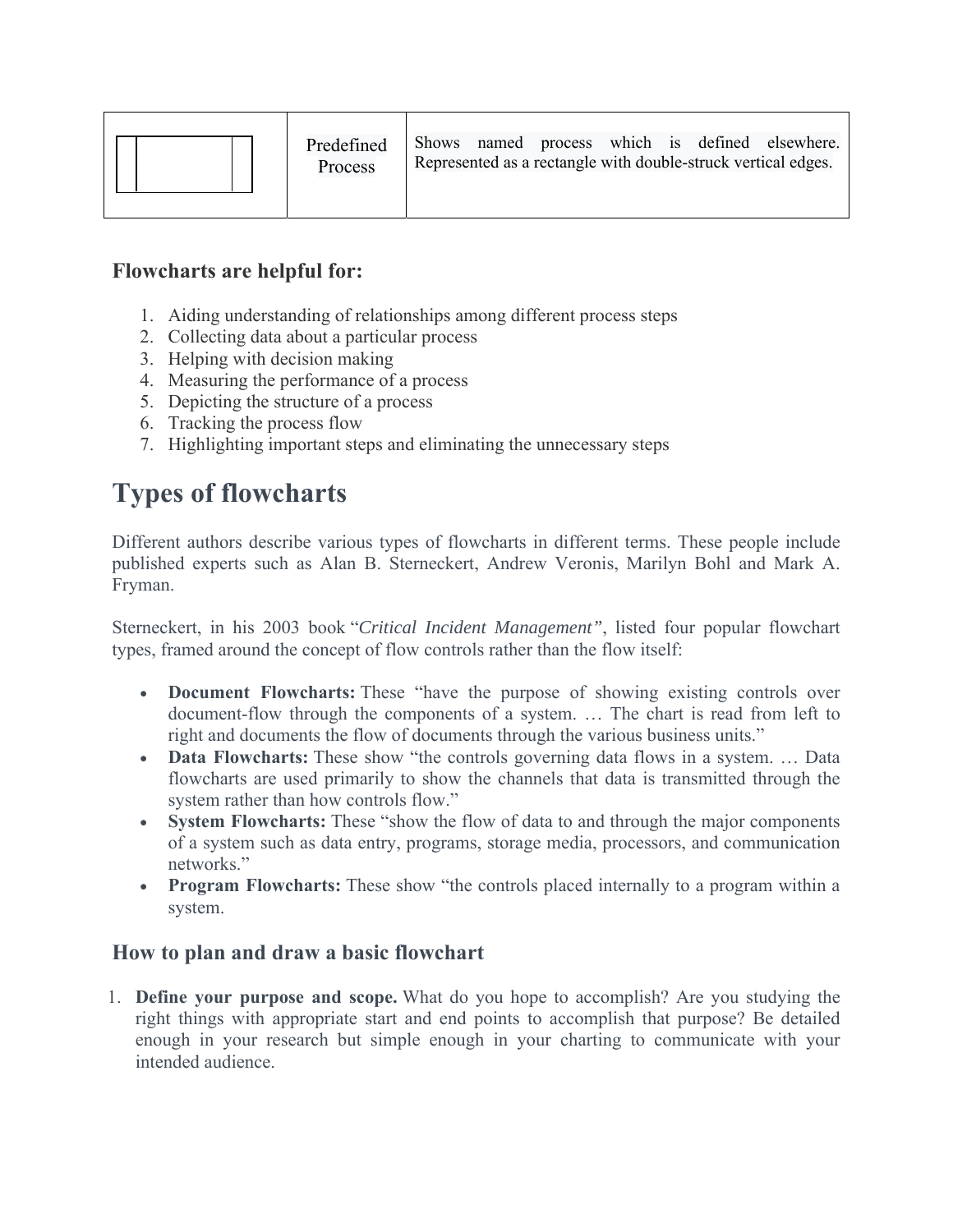|  | Predefined<br>Process |  |  |  |  |  |  | Shows named process which is defined elsewhere.<br>Represented as a rectangle with double-struck vertical edges. |
|--|-----------------------|--|--|--|--|--|--|------------------------------------------------------------------------------------------------------------------|
|--|-----------------------|--|--|--|--|--|--|------------------------------------------------------------------------------------------------------------------|

## **Flowcharts are helpful for:**

- 1. Aiding understanding of relationships among different process steps
- 2. Collecting data about a particular process
- 3. Helping with decision making
- 4. Measuring the performance of a process
- 5. Depicting the structure of a process
- 6. Tracking the process flow
- 7. Highlighting important steps and eliminating the unnecessary steps

# **Types of flowcharts**

Different authors describe various types of flowcharts in different terms. These people include published experts such as Alan B. Sterneckert, Andrew Veronis, Marilyn Bohl and Mark A. Fryman.

Sterneckert, in his 2003 book "*Critical Incident Management"*, listed four popular flowchart types, framed around the concept of flow controls rather than the flow itself:

- **Document Flowcharts:** These "have the purpose of showing existing controls over document-flow through the components of a system. … The chart is read from left to right and documents the flow of documents through the various business units."
- **Data Flowcharts:** These show "the controls governing data flows in a system. ... Data flowcharts are used primarily to show the channels that data is transmitted through the system rather than how controls flow."
- **System Flowcharts:** These "show the flow of data to and through the major components of a system such as data entry, programs, storage media, processors, and communication networks."
- **Program Flowcharts:** These show "the controls placed internally to a program within a system.

## **How to plan and draw a basic flowchart**

1. **Define your purpose and scope.** What do you hope to accomplish? Are you studying the right things with appropriate start and end points to accomplish that purpose? Be detailed enough in your research but simple enough in your charting to communicate with your intended audience.